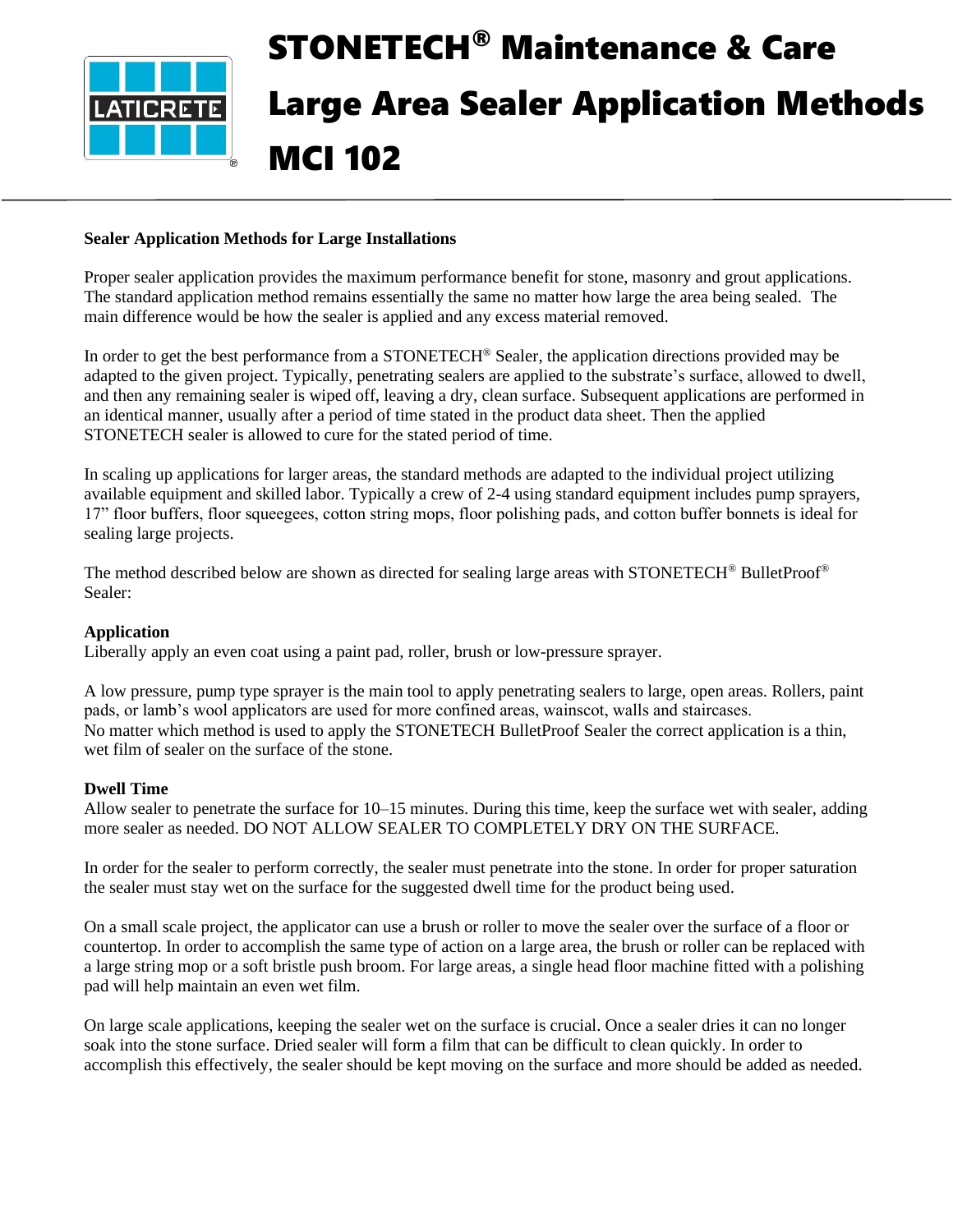

# STONETECH® Maintenance & Care Large Area Sealer Application Methods MCI 102

# **Sealer Application Methods for Large Installations**

Proper sealer application provides the maximum performance benefit for stone, masonry and grout applications. The standard application method remains essentially the same no matter how large the area being sealed. The main difference would be how the sealer is applied and any excess material removed.

In order to get the best performance from a STONETECH<sup>®</sup> Sealer, the application directions provided may be adapted to the given project. Typically, penetrating sealers are applied to the substrate's surface, allowed to dwell, and then any remaining sealer is wiped off, leaving a dry, clean surface. Subsequent applications are performed in an identical manner, usually after a period of time stated in the product data sheet. Then the applied STONETECH sealer is allowed to cure for the stated period of time.

In scaling up applications for larger areas, the standard methods are adapted to the individual project utilizing available equipment and skilled labor. Typically a crew of 2-4 using standard equipment includes pump sprayers, 17" floor buffers, floor squeegees, cotton string mops, floor polishing pads, and cotton buffer bonnets is ideal for sealing large projects.

The method described below are shown as directed for sealing large areas with STONETECH® BulletProof® Sealer:

## **Application**

Liberally apply an even coat using a paint pad, roller, brush or low-pressure sprayer.

A low pressure, pump type sprayer is the main tool to apply penetrating sealers to large, open areas. Rollers, paint pads, or lamb's wool applicators are used for more confined areas, wainscot, walls and staircases. No matter which method is used to apply the STONETECH BulletProof Sealer the correct application is a thin, wet film of sealer on the surface of the stone.

#### **Dwell Time**

Allow sealer to penetrate the surface for 10–15 minutes. During this time, keep the surface wet with sealer, adding more sealer as needed. DO NOT ALLOW SEALER TO COMPLETELY DRY ON THE SURFACE.

In order for the sealer to perform correctly, the sealer must penetrate into the stone. In order for proper saturation the sealer must stay wet on the surface for the suggested dwell time for the product being used.

On a small scale project, the applicator can use a brush or roller to move the sealer over the surface of a floor or countertop. In order to accomplish the same type of action on a large area, the brush or roller can be replaced with a large string mop or a soft bristle push broom. For large areas, a single head floor machine fitted with a polishing pad will help maintain an even wet film.

On large scale applications, keeping the sealer wet on the surface is crucial. Once a sealer dries it can no longer soak into the stone surface. Dried sealer will form a film that can be difficult to clean quickly. In order to accomplish this effectively, the sealer should be kept moving on the surface and more should be added as needed.